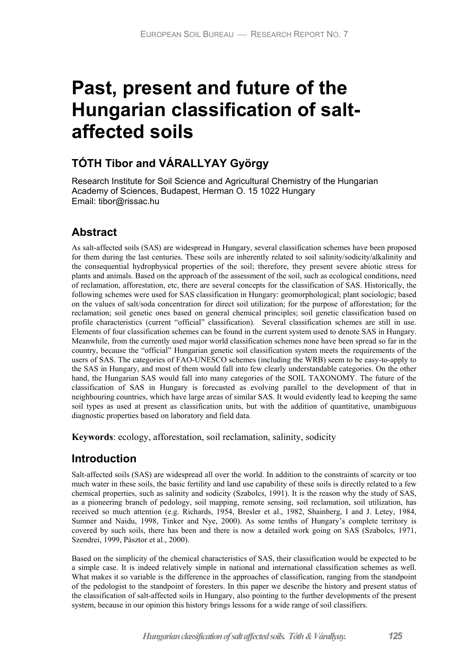# **Past, present and future of the Hungarian classification of saltaffected soils**

# **TÓTH Tibor and VÁRALLYAY György**

Research Institute for Soil Science and Agricultural Chemistry of the Hungarian Academy of Sciences, Budapest, Herman O. 15 1022 Hungary Email: tibor@rissac.hu

# **Abstract**

As salt-affected soils (SAS) are widespread in Hungary, several classification schemes have been proposed for them during the last centuries. These soils are inherently related to soil salinity/sodicity/alkalinity and the consequential hydrophysical properties of the soil; therefore, they present severe abiotic stress for plants and animals. Based on the approach of the assessment of the soil, such as ecological conditions, need of reclamation, afforestation, etc, there are several concepts for the classification of SAS. Historically, the following schemes were used for SAS classification in Hungary: geomorphological; plant sociologic; based on the values of salt/soda concentration for direct soil utilization; for the purpose of afforestation; for the reclamation; soil genetic ones based on general chemical principles; soil genetic classification based on profile characteristics (current "official" classification). Several classification schemes are still in use. Elements of four classification schemes can be found in the current system used to denote SAS in Hungary. Meanwhile, from the currently used major world classification schemes none have been spread so far in the country, because the "official" Hungarian genetic soil classification system meets the requirements of the users of SAS. The categories of FAO-UNESCO schemes (including the WRB) seem to be easy-to-apply to the SAS in Hungary, and most of them would fall into few clearly understandable categories. On the other hand, the Hungarian SAS would fall into many categories of the SOIL TAXONOMY. The future of the classification of SAS in Hungary is forecasted as evolving parallel to the development of that in neighbouring countries, which have large areas of similar SAS. It would evidently lead to keeping the same soil types as used at present as classification units, but with the addition of quantitative, unambiguous diagnostic properties based on laboratory and field data.

**Keywords**: ecology, afforestation, soil reclamation, salinity, sodicity

# **Introduction**

Salt-affected soils (SAS) are widespread all over the world. In addition to the constraints of scarcity or too much water in these soils, the basic fertility and land use capability of these soils is directly related to a few chemical properties, such as salinity and sodicity (Szabolcs, 1991). It is the reason why the study of SAS, as a pioneering branch of pedology, soil mapping, remote sensing, soil reclamation, soil utilization, has received so much attention (e.g. Richards, 1954, Bresler et al., 1982, Shainberg, I and J. Letey, 1984, Sumner and Naidu, 1998, Tinker and Nye, 2000). As some tenths of Hungary's complete territory is covered by such soils, there has been and there is now a detailed work going on SAS (Szabolcs, 1971, Szendrei, 1999, Pásztor et al., 2000).

Based on the simplicity of the chemical characteristics of SAS, their classification would be expected to be a simple case. It is indeed relatively simple in national and international classification schemes as well. What makes it so variable is the difference in the approaches of classification, ranging from the standpoint of the pedologist to the standpoint of foresters. In this paper we describe the history and present status of the classification of salt-affected soils in Hungary, also pointing to the further developments of the present system, because in our opinion this history brings lessons for a wide range of soil classifiers.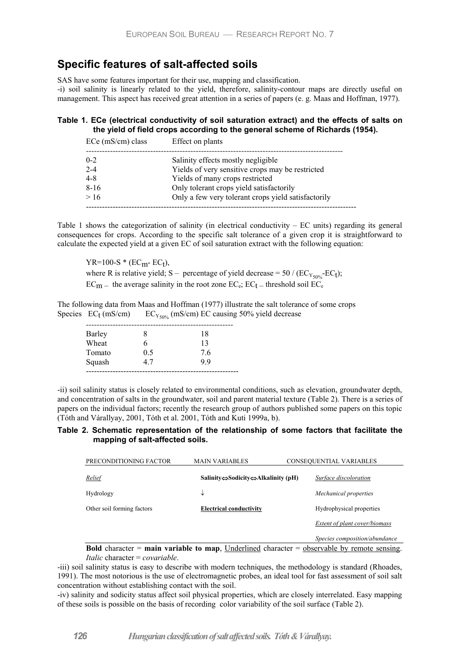# **Specific features of salt-affected soils**

SAS have some features important for their use, mapping and classification.

-i) soil salinity is linearly related to the yield, therefore, salinity-contour maps are directly useful on management. This aspect has received great attention in a series of papers (e. g. Maas and Hoffman, 1977).

## **Table 1. ECe (electrical conductivity of soil saturation extract) and the effects of salts on the yield of field crops according to the general scheme of Richards (1954).**

| $ECe$ (mS/cm) class | Effect on plants                                    |
|---------------------|-----------------------------------------------------|
| $0 - 2$             | Salinity effects mostly negligible                  |
| $2 - 4$             | Yields of very sensitive crops may be restricted    |
| $4 - 8$             | Yields of many crops restricted                     |
| $8 - 16$            | Only tolerant crops yield satisfactorily            |
| >16                 | Only a few very tolerant crops yield satisfactorily |
|                     |                                                     |

Table 1 shows the categorization of salinity (in electrical conductivity  $-EC$  units) regarding its general consequences for crops. According to the specific salt tolerance of a given crop it is straightforward to calculate the expected yield at a given EC of soil saturation extract with the following equation:

 $YR=100-S * (EC<sub>m</sub> - EC<sub>t</sub>),$ where R is relative yield; S – percentage of yield decrease =  $50$  / ( $EC_{Y_{50\%}}$ - $EC_{t}$ );  $EC_{m}$  – the average salinity in the root zone  $EC_{e}$ ;  $EC_{t}$  – threshold soil  $EC_{e}$ 

The following data from Maas and Hoffman (1977) illustrate the salt tolerance of some crops Species  $EC_t$  (mS/cm)  $EC_{Y_{50\%}}$  (mS/cm) EC causing 50% yield decrease

| Barley |     | 18 |
|--------|-----|----|
| Wheat  |     | 13 |
| Tomato | 0.5 | 76 |
| Squash | 47  | 99 |
|        |     |    |

-ii) soil salinity status is closely related to environmental conditions, such as elevation, groundwater depth, and concentration of salts in the groundwater, soil and parent material texture (Table 2). There is a series of papers on the individual factors; recently the research group of authors published some papers on this topic (Tóth and Várallyay, 2001, Tóth et al. 2001, Tóth and Kuti 1999a, b).

### **Table 2. Schematic representation of the relationship of some factors that facilitate the mapping of salt-affected soils.**

| PRECONDITIONING FACTOR                                                                                   | <b>MAIN VARIABLES</b>                                                 | CONSEQUENTIAL VARIABLES       |
|----------------------------------------------------------------------------------------------------------|-----------------------------------------------------------------------|-------------------------------|
| Relief                                                                                                   | Salinity $\Leftrightarrow$ Sodicity $\Leftrightarrow$ Alkalinity (pH) | Surface discoloration         |
| Hydrology                                                                                                | ↓                                                                     | Mechanical properties         |
| Other soil forming factors                                                                               | <b>Electrical conductivity</b>                                        | Hydrophysical properties      |
|                                                                                                          |                                                                       | Extent of plant cover/biomass |
|                                                                                                          |                                                                       | Species composition/abundance |
| Rold character $\equiv$ main variable to man. Underlined character $\equiv$ observable by remote sensing |                                                                       |                               |

**Fiable to map**, Underlined character = <u>observable by remote sensing</u>. *Italic* character = *covariable*.

-iii) soil salinity status is easy to describe with modern techniques, the methodology is standard (Rhoades, 1991). The most notorious is the use of electromagnetic probes, an ideal tool for fast assessment of soil salt concentration without establishing contact with the soil.

-iv) salinity and sodicity status affect soil physical properties, which are closely interrelated. Easy mapping of these soils is possible on the basis of recording color variability of the soil surface (Table 2).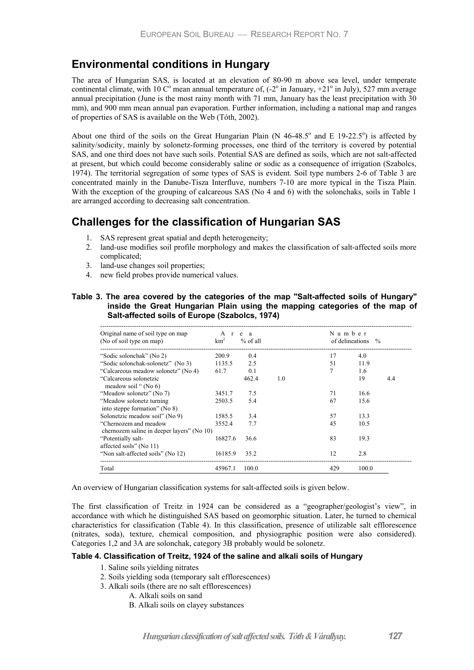# **Environmental conditions in Hungary**

The area of Hungarian SAS, is located at an elevation of 80-90 m above sea level, under temperate continental climate, with 10  $\mathbb{C}^{\circ}$  mean annual temperature of,  $(-2^{\circ}$  in January,  $+21^{\circ}$  in July), 527 mm average annual precipitation (June is the most rainy month with 71 mm, January has the least precipitation with 30 mm), and 900 mm mean annual pan evaporation. Further information, including a national map and ranges of properties of SAS is available on the Web (Tóth, 2002).

About one third of the soils on the Great Hungarian Plain (N  $46-48.5^\circ$  and E 19-22.5°) is affected by salinity/sodicity, mainly by solonetz-forming processes, one third of the territory is covered by potential SAS, and one third does not have such soils. Potential SAS are defined as soils, which are not salt-affected at present, but which could become considerably saline or sodic as a consequence of irrigation (Szabolcs, 1974). The territorial segregation of some types of SAS is evident. Soil type numbers 2-6 of Table 3 are concentrated mainly in the Danube-Tisza Interfluve, numbers 7-10 are more typical in the Tisza Plain. With the exception of the grouping of calcareous SAS (No 4 and 6) with the solonchaks, soils in Table 1 are arranged according to decreasing salt concentration.

# **Challenges for the classification of Hungarian SAS**

- 1. SAS represent great spatial and depth heterogeneity;
- 2. land-use modifies soil profile morphology and makes the classification of salt-affected soils more complicated;
- 3. land-use changes soil properties;
- 4. new field probes provide numerical values.

### **Table 3. The area covered by the categories of the map "Salt-affected soils of Hungary" inside the Great Hungarian Plain using the mapping categories of the map of Salt-affected soils of Europe (Szabolcs, 1974)**

| Original name of soil type on map<br>(No of soil type on map)       | Ar<br>km <sup>2</sup> | e a<br>$%$ of all |     | Number | of delineations % |     |
|---------------------------------------------------------------------|-----------------------|-------------------|-----|--------|-------------------|-----|
| "Sodic solonchak" (No 2)                                            | 200.9                 | 0.4               |     | 17     | 4.0               |     |
| "Sodic solonchak-solonetz" (No 3)                                   | 1135.5                | 2.5               |     | 51     | 11.9              |     |
| "Calcareous meadow solonetz" (No 4)                                 | 61.7                  | 0.1               |     | 7      | 1.6               |     |
| "Calcareous solonetzic<br>meadow soil " (No 6)                      |                       | 462.4             | 1.0 |        | 19                | 4.4 |
| "Meadow solonetz" (No 7)                                            | 3451.7                | 7.5               |     | 71     | 16.6              |     |
| "Meadow solonetz turning<br>into steppe formation" (No $8$ )        | 2503.5                | 5.4               |     | 67     | 15.6              |     |
| Solonetzic meadow soil" (No 9)                                      | 1585.5                | 3.4               |     | 57     | 13.3              |     |
| "Chernozem and meadow<br>chernozem saline in deeper layers" (No 10) | 3552.4                | 7.7               |     | 45     | 10.5              |     |
| "Potentially salt-<br>affected soils" (No 11)                       | 16827.6               | 36.6              |     | 83     | 19.3              |     |
| "Non salt-affected soils" (No 12)                                   | 16185.9               | 35.2              |     | 12     | 2.8               |     |
| Total                                                               | 45967.1               | 100.0             |     | 429    | 100.0             |     |

An overview of Hungarian classification systems for salt-affected soils is given below.

The first classification of Treitz in 1924 can be considered as a "geographer/geologist's view", in accordance with which he distinguished SAS based on geomorphic situation. Later, he turned to chemical characteristics for classification (Table 4). In this classification, presence of utilizable salt efflorescence (nitrates, soda), texture, chemical composition, and physiographic position were also considered). Categories 1,2 and 3A are solonchak, category 3B probably would be solonetz.

### **Table 4. Classification of Treitz, 1924 of the saline and alkali soils of Hungary**

- 1. Saline soils yielding nitrates
- 2. Soils yielding soda (temporary salt efflorescences)
- 3. Alkali soils (there are no salt efflorescences)
	- A. Alkali soils on sand
		- B. Alkali soils on clayey substances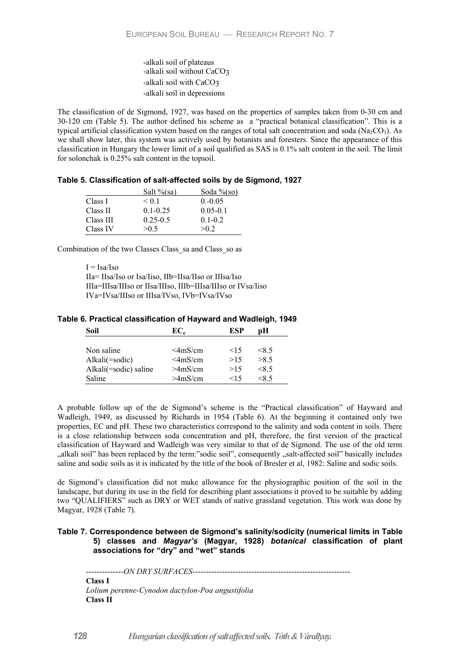-alkali soil of plateaus -alkali soil without CaCO3 -alkali soil with CaCO3 -alkali soil in depressions

The classification of de Sigmond, 1927, was based on the properties of samples taken from 0-30 cm and 30-120 cm (Table 5). The author defined his scheme as a "practical botanical classification". This is a typical artificial classification system based on the ranges of total salt concentration and soda (Na<sub>2</sub>CO<sub>3</sub>). As we shall show later, this system was actively used by botanists and foresters. Since the appearance of this classification in Hungary the lower limit of a soil qualified as SAS is 0.1% salt content in the soil. The limit for solonchak is 0.25% salt content in the topsoil.

|  |  | Table 5. Classification of salt-affected soils by de Sigmond, 1927 |  |  |  |
|--|--|--------------------------------------------------------------------|--|--|--|
|--|--|--------------------------------------------------------------------|--|--|--|

|           | Salt $\%$ (sa) | Soda $\%$ (so) |
|-----------|----------------|----------------|
| Class I   | < 0.1          | $0. -0.05$     |
| Class II  | $0.1 - 0.25$   | $0.05 - 0.1$   |
| Class III | $0.25 - 0.5$   | $0.1 - 0.2$    |
| Class IV  | >0.5           | >0.2           |

Combination of the two Classes Class\_sa and Class\_so as

 $I = Isa/Iso$ IIa= IIsa/Iso or Isa/Iiso, IIb=IIsa/IIso or IIIsa/Iso IIIa=IIIsa/IIIso or IIsa/IIIso, IIIb=IIIsa/IIIso or IVsa/Iiso IVa=IVsa/IIIso or IIIsa/IVso, IVb=IVsa/IVso

## **Table 6. Practical classification of Hayward and Wadleigh, 1949**

| Soil                  | $EC_{\rm e}$         | ESP       | nН      |
|-----------------------|----------------------|-----------|---------|
|                       |                      |           |         |
| Non saline            | $\leq$ 4mS/cm        | 15        | $<$ 8.5 |
| Alkali(=sodic)        | $\leq$ 4mS/cm        | >15       | >8.5    |
| Alkali(=sodic) saline | >4 <sub>m</sub> S/cm | >15       | $<$ 8.5 |
| Saline                | >4 <sub>m</sub> S/cm | $\leq$ 15 | <8 5    |

A probable follow up of the de Sigmond's scheme is the "Practical classification" of Hayward and Wadleigh, 1949, as discussed by Richards in 1954 (Table 6). At the beginning it contained only two properties, EC and pH. These two characteristics correspond to the salinity and soda content in soils. There is a close relationship between soda concentration and pH, therefore, the first version of the practical classification of Hayward and Wadleigh was very similar to that of de Sigmond. The use of the old term "alkali soil" has been replaced by the term:"sodic soil", consequently "salt-affected soil" basically includes saline and sodic soils as it is indicated by the title of the book of Bresler et al, 1982: Saline and sodic soils.

de Sigmond's classification did not make allowance for the physiographic position of the soil in the landscape, but during its use in the field for describing plant associations it proved to be suitable by adding two "QUALIFIERS" such as DRY or WET stands of native grassland vegetation. This work was done by Magyar, 1928 (Table 7).

### **Table 7. Correspondence between de Sigmond's salinity/sodicity (numerical limits in Table 5) classes and** *Magyar's* **(Magyar, 1928)** *botanical* **classification of plant associations for "dry" and "wet" stands**

--------------*ON DRY SURFACES*----------------------------------------------------------- **Class I**  *Lolium perenne-Cynodon dactylon-Poa angustifolia* **Class II**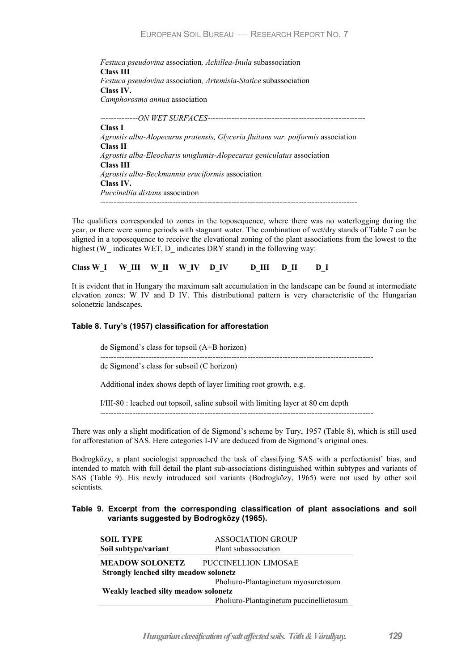*Festuca pseudovina* association*, Achillea-Inula* subassociation **Class III**  *Festuca pseudovina* association*, Artemisia-Statice* subassociation **Class IV.**  *Camphorosma annua* association --------------*ON WET SURFACES*----------------------------------------------------------- **Class I**  *Agrostis alba-Alopecurus pratensis, Glyceria fluitans var. poiformis* association **Class II**  *Agrostis alba-Eleocharis uniglumis-Alopecurus geniculatus* association **Class III**  *Agrostis alba-Beckmannia eruciformis* association **Class IV.**  *Puccinellia distans* association *------------------------------------------------------------------------------------------------* 

The qualifiers corresponded to zones in the toposequence, where there was no waterlogging during the year, or there were some periods with stagnant water. The combination of wet/dry stands of Table 7 can be aligned in a toposequence to receive the elevational zoning of the plant associations from the lowest to the highest (W\_ indicates WET, D\_ indicates DRY stand) in the following way:

Class W\_I W\_III W\_II W\_IV D\_IV D\_III D\_II D\_I

It is evident that in Hungary the maximum salt accumulation in the landscape can be found at intermediate elevation zones: W\_IV and D\_IV. This distributional pattern is very characteristic of the Hungarian solonetzic landscapes.

### **Table 8. Tury's (1957) classification for afforestation**

de Sigmond's class for topsoil (A+B horizon)

------------------------------------------------------------------------------------------------------

de Sigmond's class for subsoil (C horizon)

Additional index shows depth of layer limiting root growth, e.g.

I/III-80 : leached out topsoil, saline subsoil with limiting layer at 80 cm depth ------------------------------------------------------------------------------------------------------

There was only a slight modification of de Sigmond's scheme by Tury, 1957 (Table 8), which is still used for afforestation of SAS. Here categories I-IV are deduced from de Sigmond's original ones.

Bodrogközy, a plant sociologist approached the task of classifying SAS with a perfectionist' bias, and intended to match with full detail the plant sub-associations distinguished within subtypes and variants of SAS (Table 9). His newly introduced soil variants (Bodrogközy, 1965) were not used by other soil scientists.

### **Table 9. Excerpt from the corresponding classification of plant associations and soil variants suggested by Bodrogközy (1965).**

| <b>SOIL TYPE</b>                       | <b>ASSOCIATION GROUP</b>                |  |
|----------------------------------------|-----------------------------------------|--|
| Soil subtype/variant                   | Plant subassociation                    |  |
| <b>MEADOW SOLONETZ</b>                 | PUCCINELLION LIMOSAE                    |  |
| Strongly leached silty meadow solonetz |                                         |  |
|                                        | Pholiuro-Plantaginetum myosuretosum     |  |
| Weakly leached silty meadow solonetz   |                                         |  |
|                                        | Pholiuro-Plantaginetum puccinellietosum |  |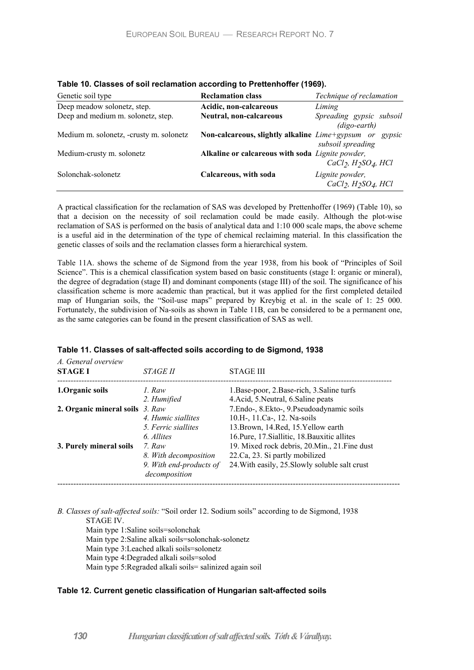| Genetic soil type                       | <b>Reclamation class</b>                         | Technique of reclamation                                 |
|-----------------------------------------|--------------------------------------------------|----------------------------------------------------------|
| Deep meadow solonetz, step.             | Acidic, non-calcareous                           | Liming                                                   |
| Deep and medium m. solonetz, step.      | Neutral, non-calcareous                          | Spreading gypsic subsoil                                 |
|                                         |                                                  | $(digo\text{-}earth)$                                    |
| Medium m. solonetz, -crusty m. solonetz | Non-calcareous, slightly alkaline Lime+gypsum or | gypsic                                                   |
|                                         |                                                  | subsoil spreading                                        |
| Medium-crusty m. solonetz               | Alkaline or calcareous with soda Lignite powder, |                                                          |
|                                         |                                                  | $CaCl2, H2SO4, HCl$                                      |
| Solonchak-solonetz                      | Calcareous, with soda                            | Lignite powder,                                          |
|                                         |                                                  | CaCl <sub>2</sub> , H <sub>2</sub> SO <sub>4</sub> , HCl |

|  |  | Table 10. Classes of soil reclamation according to Prettenhoffer (1969). |  |  |
|--|--|--------------------------------------------------------------------------|--|--|
|--|--|--------------------------------------------------------------------------|--|--|

A practical classification for the reclamation of SAS was developed by Prettenhoffer (1969) (Table 10), so that a decision on the necessity of soil reclamation could be made easily. Although the plot-wise reclamation of SAS is performed on the basis of analytical data and 1:10 000 scale maps, the above scheme is a useful aid in the determination of the type of chemical reclaiming material. In this classification the genetic classes of soils and the reclamation classes form a hierarchical system.

Table 11A. shows the scheme of de Sigmond from the year 1938, from his book of "Principles of Soil Science". This is a chemical classification system based on basic constituents (stage I: organic or mineral), the degree of degradation (stage II) and dominant components (stage III) of the soil. The significance of his classification scheme is more academic than practical, but it was applied for the first completed detailed map of Hungarian soils, the "Soil-use maps" prepared by Kreybig et al. in the scale of 1: 25 000. Fortunately, the subdivision of Na-soils as shown in Table 11B, can be considered to be a permanent one, as the same categories can be found in the present classification of SAS as well.

| A. General overview<br><b>STAGE I</b> | <i>STAGE II</i>                          | <b>STAGE III</b>                               |
|---------------------------------------|------------------------------------------|------------------------------------------------|
| 1. Organic soils                      | 1. Raw                                   | 1. Base-poor, 2. Base-rich, 3. Saline turfs    |
|                                       | 2. Humified                              | 4. Acid, 5. Neutral, 6. Saline peats           |
| 2. Organic mineral soils 3. Raw       |                                          | 7.Endo-, 8.Ekto-, 9.Pseudoadynamic soils       |
|                                       | 4. Humic siallites                       | 10.H-, 11.Ca-, 12. Na-soils                    |
|                                       | 5. Ferric siallites                      | 13. Brown, 14. Red, 15. Yellow earth           |
|                                       | 6. Allites                               | 16. Pure, 17. Siallitic, 18. Bauxitic allites  |
| 3. Purely mineral soils               | 7. Raw                                   | 19. Mixed rock debris, 20. Min., 21. Fine dust |
|                                       | 8. With decomposition                    | 22.Ca, 23. Si partly mobilized                 |
|                                       | 9. With end-products of<br>decomposition | 24. With easily, 25. Slowly soluble salt crust |

#### **Table 11. Classes of salt-affected soils according to de Sigmond, 1938**

*B. Classes of salt-affected soils:* "Soil order 12. Sodium soils" according to de Sigmond, 1938 STAGE IV. Main type 1:Saline soils=solonchak

Main type 2:Saline alkali soils=solonchak-solonetz Main type 3:Leached alkali soils=solonetz Main type 4:Degraded alkali soils=solod Main type 5:Regraded alkali soils= salinized again soil

### **Table 12. Current genetic classification of Hungarian salt-affected soils**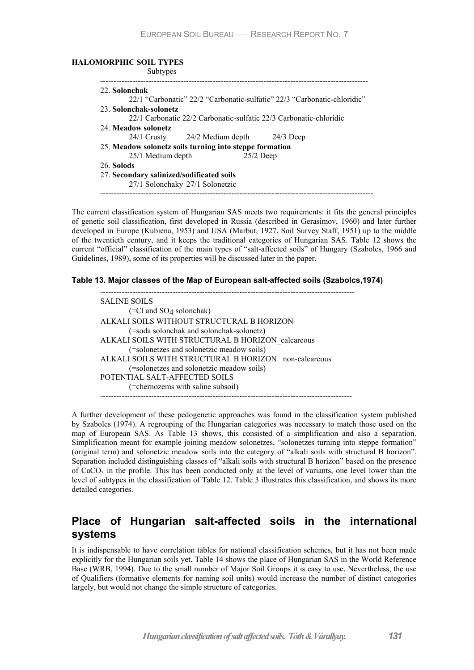#### **HALOMORPHIC SOIL TYPES**

| Subtypes                                  |                                                                    |                                                                          |
|-------------------------------------------|--------------------------------------------------------------------|--------------------------------------------------------------------------|
| 22. Solonchak                             |                                                                    |                                                                          |
|                                           |                                                                    | 22/1 "Carbonatic" 22/2 "Carbonatic-sulfatic" 22/3 "Carbonatic-chloridic" |
| 23 Solonchak-solonetz                     |                                                                    |                                                                          |
|                                           | 22/1 Carbonatic 22/2 Carbonatic-sulfatic 22/3 Carbonatic-chloridic |                                                                          |
| 24. Meadow solonetz                       |                                                                    |                                                                          |
|                                           | 24/1 Crusty 24/2 Medium depth 24/3 Deep                            |                                                                          |
|                                           | 25. Meadow solonetz soils turning into steppe formation            |                                                                          |
| 25/1 Medium depth                         | $25/2$ Deep                                                        |                                                                          |
| 26. Solods                                |                                                                    |                                                                          |
| 27. Secondary salinized/sodificated soils |                                                                    |                                                                          |
|                                           | 27/1 Solonchaky 27/1 Solonetzic                                    |                                                                          |

The current classification system of Hungarian SAS meets two requirements: it fits the general principles of genetic soil classification, first developed in Russia (described in Gerasimov, 1960) and later further developed in Europe (Kubiena, 1953) and USA (Marbut, 1927, Soil Survey Staff, 1951) up to the middle of the twentieth century, and it keeps the traditional categories of Hungarian SAS. Table 12 shows the current "official" classification of the main types of "salt-affected soils" of Hungary (Szabolcs, 1966 and Guidelines, 1989), some of its properties will be discussed later in the paper.

**Table 13. Major classes of the Map of European salt-affected soils (Szabolcs,1974)** 

```
----------------------------------------------------------------------------------------------- 
SALINE SOILS 
        (=Cl and SO4 solonchak) 
ALKALI SOILS WITHOUT STRUCTURAL B HORIZON 
        (=soda solonchak and solonchak-solonetz) 
ALKALI SOILS WITH STRUCTURAL B HORIZON_calcareous 
        (=solonetzes and solonetzic meadow soils) 
ALKALI SOILS WITH STRUCTURAL B HORIZON _non-calcareous 
        (=solonetzes and solonetzic meadow soils) 
POTENTIAL SALT-AFFECTED SOILS 
        (=chernozems with saline subsoil) 
                ----------------------------------------------------------------------------------------------
```
A further development of these pedogenetic approaches was found in the classification system published by Szabolcs (1974). A regrouping of the Hungarian categories was necessary to match those used on the map of European SAS. As Table 13 shows, this consisted of a simplification and also a separation. Simplification meant for example joining meadow solonetzes, "solonetzes turning into steppe formation" (original term) and solonetzic meadow soils into the category of "alkali soils with structural B horizon". Separation included distinguishing classes of "alkali soils with structural B horizon" based on the presence of  $CaCO<sub>3</sub>$  in the profile. This has been conducted only at the level of variants, one level lower than the level of subtypes in the classification of Table 12. Table 3 illustrates this classification, and shows its more detailed categories.

# **Place of Hungarian salt-affected soils in the international systems**

It is indispensable to have correlation tables for national classification schemes, but it has not been made explicitly for the Hungarian soils yet. Table 14 shows the place of Hungarian SAS in the World Reference Base (WRB, 1994). Due to the small number of Major Soil Groups it is easy to use. Nevertheless, the use of Qualifiers (formative elements for naming soil units) would increase the number of distinct categories largely, but would not change the simple structure of categories.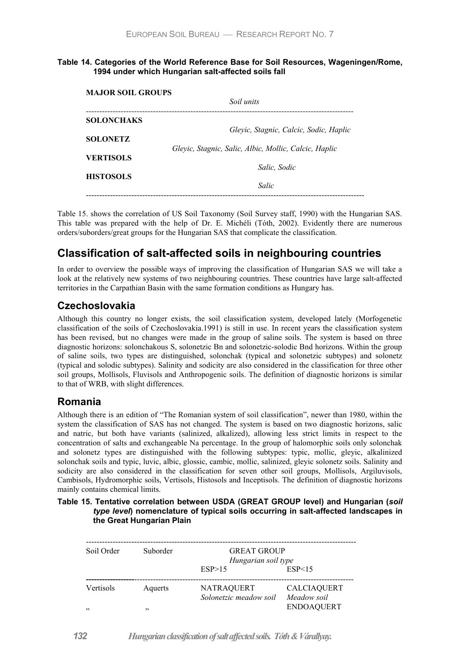### **Table 14. Categories of the World Reference Base for Soil Resources, Wageningen/Rome, 1994 under which Hungarian salt-affected soils fall**

| <b>MAJOR SOIL GROUPS</b> | Soil units                                            |
|--------------------------|-------------------------------------------------------|
| <b>SOLONCHAKS</b>        | Gleyic, Stagnic, Calcic, Sodic, Haplic                |
| <b>SOLONETZ</b>          | Gleyic, Stagnic, Salic, Albic, Mollic, Calcic, Haplic |
| <b>VERTISOLS</b>         | Salic. Sodic                                          |
| <b>HISTOSOLS</b>         | Salic                                                 |

Table 15. shows the correlation of US Soil Taxonomy (Soil Survey staff, 1990) with the Hungarian SAS. This table was prepared with the help of Dr. E. Michéli (Tóth, 2002). Evidently there are numerous orders/suborders/great groups for the Hungarian SAS that complicate the classification.

# **Classification of salt-affected soils in neighbouring countries**

In order to overview the possible ways of improving the classification of Hungarian SAS we will take a look at the relatively new systems of two neighbouring countries. These countries have large salt-affected territories in the Carpathian Basin with the same formation conditions as Hungary has.

# **Czechoslovakia**

Although this country no longer exists, the soil classification system, developed lately (Morfogenetic classification of the soils of Czechoslovakia.1991) is still in use. In recent years the classification system has been revised, but no changes were made in the group of saline soils. The system is based on three diagnostic horizons: solonchakous S, solonetzic Bn and solonetzic-solodic Bnd horizons. Within the group of saline soils, two types are distinguished, solonchak (typical and solonetzic subtypes) and solonetz (typical and solodic subtypes). Salinity and sodicity are also considered in the classification for three other soil groups, Mollisols, Fluvisols and Anthropogenic soils. The definition of diagnostic horizons is similar to that of WRB, with slight differences.

# **Romania**

Although there is an edition of "The Romanian system of soil classification", newer than 1980, within the system the classification of SAS has not changed. The system is based on two diagnostic horizons, salic and natric, but both have variants (salinized, alkalized), allowing less strict limits in respect to the concentration of salts and exchangeable Na percentage. In the group of halomorphic soils only solonchak and solonetz types are distinguished with the following subtypes: typic, mollic, gleyic, alkalinized solonchak soils and typic, luvic, albic, glossic, cambic, mollic, salinized, gleyic solonetz soils. Salinity and sodicity are also considered in the classification for seven other soil groups, Mollisols, Argiluvisols, Cambisols, Hydromorphic soils, Vertisols, Histosols and Inceptisols. The definition of diagnostic horizons mainly contains chemical limits.

### **Table 15. Tentative correlation between USDA (GREAT GROUP level) and Hungarian (***soil type level***) nomenclature of typical soils occurring in salt-affected landscapes in the Great Hungarian Plain**

| Soil Order       | Suborder       | <b>GREAT GROUP</b><br>Hungarian soil type<br>ESP<15<br>ESP > 15 |                                                        |  |  |  |  |
|------------------|----------------|-----------------------------------------------------------------|--------------------------------------------------------|--|--|--|--|
| Vertisols<br>, 2 | Aquerts<br>, 2 | <b>NATRAQUERT</b><br>Solonetzic meadow soil                     | <b>CALCIAQUERT</b><br>Meadow soil<br><b>ENDOAQUERT</b> |  |  |  |  |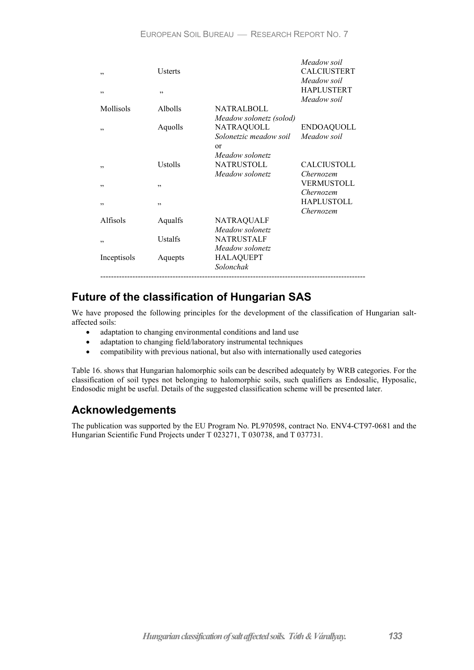| , ,<br>, ,      | Usterts<br>, , |                                                                            | Meadow soil<br><b>CALCIUSTERT</b><br>Meadow soil<br><b>HAPLUSTERT</b><br>Meadow soil |
|-----------------|----------------|----------------------------------------------------------------------------|--------------------------------------------------------------------------------------|
| Mollisols       | <b>Albolls</b> | <b>NATRALBOLL</b><br>Meadow solonetz (solod)                               |                                                                                      |
| , ,             | Aquolls        | <b>NATRAQUOLL</b><br>Solonetzic meadow soil<br>$\alpha$<br>Meadow solonetz | <b>ENDOAQUOLL</b><br>Meadow soil                                                     |
| , ,             | Ustolls        | <b>NATRUSTOLL</b><br>Meadow solonetz                                       | CALCIUSTOLL<br>Chernozem                                                             |
| ,,              | , ,            |                                                                            | VERMUSTOLL<br>Chernozem<br><b>HAPLUSTOLL</b>                                         |
| ,,              | , ,            |                                                                            | Chernozem                                                                            |
| <b>Alfisols</b> | Aqualfs        | <b>NATRAQUALF</b><br>Meadow solonetz                                       |                                                                                      |
| ,,              | Ustalfs        | <b>NATRUSTALF</b><br>Meadow solonetz                                       |                                                                                      |
| Inceptisols     | Aquepts        | <b>HALAQUEPT</b><br>Solonchak                                              |                                                                                      |

# **Future of the classification of Hungarian SAS**

We have proposed the following principles for the development of the classification of Hungarian saltaffected soils:

- adaptation to changing environmental conditions and land use
- adaptation to changing field/laboratory instrumental techniques
- compatibility with previous national, but also with internationally used categories

Table 16. shows that Hungarian halomorphic soils can be described adequately by WRB categories. For the classification of soil types not belonging to halomorphic soils, such qualifiers as Endosalic, Hyposalic, Endosodic might be useful. Details of the suggested classification scheme will be presented later.

# **Acknowledgements**

The publication was supported by the EU Program No. PL970598, contract No. ENV4-CT97-0681 and the Hungarian Scientific Fund Projects under T 023271, T 030738, and T 037731.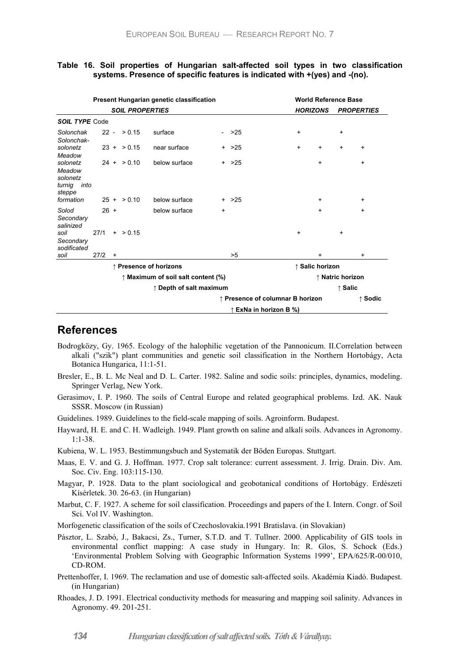### **Table 16. Soil properties of Hungarian salt-affected soil types in two classification systems. Presence of specific features is indicated with +(yes) and -(no).**

| Present Hungarian genetic classification                   |        |                                                                                 |                |               |           | <b>World Reference Base</b>      |                 |                   |           |           |           |
|------------------------------------------------------------|--------|---------------------------------------------------------------------------------|----------------|---------------|-----------|----------------------------------|-----------------|-------------------|-----------|-----------|-----------|
| <b>SOIL PROPERTIES</b>                                     |        |                                                                                 |                |               |           | <b>HORIZONS</b>                  |                 | <b>PROPERTIES</b> |           |           |           |
| <b>SOIL TYPE Code</b>                                      |        |                                                                                 |                |               |           |                                  |                 |                   |           |           |           |
| Solonchak<br>Solonchak-                                    |        |                                                                                 | $22 - 50.15$   | surface       |           | $-$ >25                          |                 | $\ddot{}$         |           | $\ddot{}$ |           |
| solonetz<br>Meadow                                         |        |                                                                                 | $23 + 9.15$    | near surface  |           | $+$ >25                          |                 | $\ddot{}$         | $\ddot{}$ | $\ddot{}$ | $\ddot{}$ |
| solonetz<br>Meadow<br>solonetz<br>into<br>turnig<br>steppe |        |                                                                                 | $24 + $ > 0.10 | below surface |           | $+$ >25                          |                 |                   | $\ddot{}$ |           | $\ddot{}$ |
| formation                                                  |        |                                                                                 | $25 + 50.10$   | below surface |           | $+$ >25                          |                 |                   | $\ddot{}$ |           | $\ddot{}$ |
| Solod<br>Secondary<br>salinized                            | $26 +$ |                                                                                 |                | below surface | $\ddot{}$ |                                  |                 |                   | $\ddot{}$ |           | $\ddot{}$ |
| soil<br>Secondary<br>sodificated                           | 27/1   |                                                                                 | $+$ > 0.15     |               |           |                                  |                 | $\ddot{}$         |           | $\ddot{}$ |           |
| soil                                                       | 27/2   | $\ddot{}$                                                                       |                |               |           | >5                               |                 |                   | +         |           | $\ddot{}$ |
| ↑ Presence of horizons                                     |        |                                                                                 |                |               |           |                                  | ↑ Salic horizon |                   |           |           |           |
|                                                            |        | $\uparrow$ Maximum of soil salt content (%)<br>$\uparrow$ Depth of salt maximum |                |               |           |                                  |                 | ↑ Natric horizon  |           |           |           |
|                                                            |        |                                                                                 |                |               |           |                                  | ↑ Salic         |                   |           |           |           |
|                                                            |        |                                                                                 |                |               |           | ↑ Presence of columnar B horizon |                 |                   |           |           | ↑ Sodic   |
|                                                            |        |                                                                                 |                |               |           | ↑ ExNa in horizon B %)           |                 |                   |           |           |           |

# **References**

- Bodrogközy, Gy. 1965. Ecology of the halophilic vegetation of the Pannonicum. II.Correlation between alkali ("szik") plant communities and genetic soil classification in the Northern Hortobágy, Acta Botanica Hungarica, 11:1-51.
- Bresler, E., B. L. Mc Neal and D. L. Carter. 1982. Saline and sodic soils: principles, dynamics, modeling. Springer Verlag, New York.
- Gerasimov, I. P. 1960. The soils of Central Europe and related geographical problems. Izd. AK. Nauk SSSR. Moscow (in Russian)

Guidelines. 1989. Guidelines to the field-scale mapping of soils. Agroinform. Budapest.

Hayward, H. E. and C. H. Wadleigh. 1949. Plant growth on saline and alkali soils. Advances in Agronomy. 1:1-38.

Kubiena, W. L. 1953. Bestimmungsbuch and Systematik der Böden Europas. Stuttgart.

- Maas, E. V. and G. J. Hoffman. 1977. Crop salt tolerance: current assessment. J. Irrig. Drain. Div. Am. Soc. Civ. Eng. 103:115-130.
- Magyar, P. 1928. Data to the plant sociological and geobotanical conditions of Hortobágy. Erdészeti Kísérletek. 30. 26-63. (in Hungarian)
- Marbut, C. F. 1927. A scheme for soil classification. Proceedings and papers of the I. Intern. Congr. of Soil Sci. Vol IV. Washington.

Morfogenetic classification of the soils of Czechoslovakia.1991 Bratislava. (in Slovakian)

- Pásztor, L. Szabó, J., Bakacsi, Zs., Turner, S.T.D. and T. Tullner. 2000. Applicability of GIS tools in environmental conflict mapping: A case study in Hungary. In: R. Glos, S. Schock (Eds.) 'Environmental Problem Solving with Geographic Information Systems 1999', EPA/625/R-00/010, CD-ROM.
- Prettenhoffer, I. 1969. The reclamation and use of domestic salt-affected soils. Akadémia Kiadó. Budapest. (in Hungarian)
- Rhoades, J. D. 1991. Electrical conductivity methods for measuring and mapping soil salinity. Advances in Agronomy. 49. 201-251.